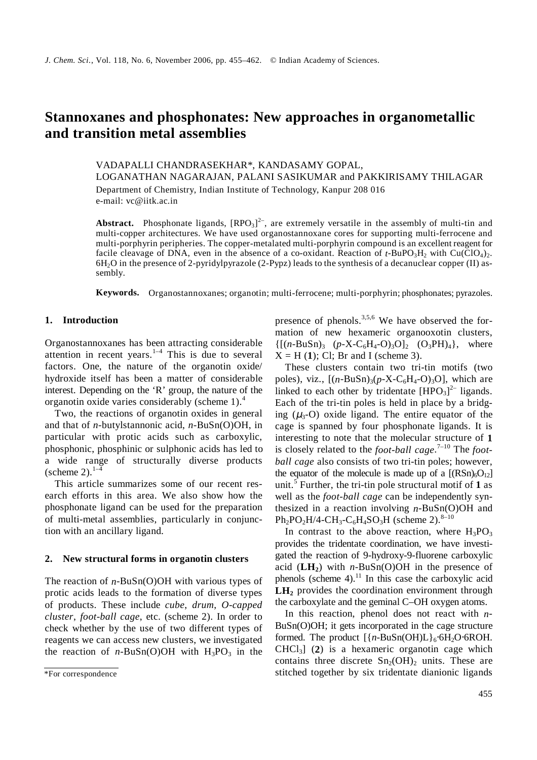# **Stannoxanes and phosphonates: New approaches in organometallic and transition metal assemblies**

VADAPALLI CHANDRASEKHAR\*, KANDASAMY GOPAL, LOGANATHAN NAGARAJAN, PALANI SASIKUMAR and PAKKIRISAMY THILAGAR Department of Chemistry, Indian Institute of Technology, Kanpur 208 016 e-mail: vc@iitk.ac.in

**Abstract.** Phosphonate ligands,  $[RPO<sub>3</sub>]<sup>2</sup>$ , are extremely versatile in the assembly of multi-tin and multi-copper architectures. We have used organostannoxane cores for supporting multi-ferrocene and multi-porphyrin peripheries. The copper-metalated multi-porphyrin compound is an excellent reagent for facile cleavage of DNA, even in the absence of a co-oxidant. Reaction of  $t$ -BuPO<sub>3</sub>H<sub>2</sub> with Cu(ClO<sub>4</sub>)<sub>2</sub>. 6H2O in the presence of 2-pyridylpyrazole (2-Pypz) leads to the synthesis of a decanuclear copper (II) assembly.

**Keywords.** Organostannoxanes; organotin; multi-ferrocene; multi-porphyrin; phosphonates; pyrazoles.

# **1. Introduction**

Organostannoxanes has been attracting considerable attention in recent years.<sup>1-4</sup> This is due to several factors. One, the nature of the organotin oxide/ hydroxide itself has been a matter of considerable interest. Depending on the 'R' group, the nature of the organotin oxide varies considerably (scheme 1).<sup>4</sup>

 Two, the reactions of organotin oxides in general and that of *n*-butylstannonic acid, *n*-BuSn(O)OH, in particular with protic acids such as carboxylic, phosphonic, phosphinic or sulphonic acids has led to a wide range of structurally diverse products (scheme 2). $1-\frac{4}{3}$ 

 This article summarizes some of our recent research efforts in this area. We also show how the phosphonate ligand can be used for the preparation of multi-metal assemblies, particularly in conjunction with an ancillary ligand.

## **2. New structural forms in organotin clusters**

The reaction of *n*-BuSn(O)OH with various types of protic acids leads to the formation of diverse types of products. These include *cube*, *drum*, *O-capped cluster*, *foot-ball cage*, etc. (scheme 2). In order to check whether by the use of two different types of reagents we can access new clusters, we investigated the reaction of  $n-BuSn(O)OH$  with  $H_3PO_3$  in the presence of phenols.<sup>3,5,6</sup> We have observed the formation of new hexameric organooxotin clusters,  $\{[(n-BuSn)_3 \ (p-X-C_6H_4-O)_3O]_2 \ (O_3PH)_4\}$ , where  $X = H(1)$ ; Cl; Br and I (scheme 3).

 These clusters contain two tri-tin motifs (two poles), viz.,  $[(n-BuSn)_{3}(p-X-C<sub>6</sub>H<sub>4</sub>-O)<sub>3</sub>O]$ , which are linked to each other by tridentate  $[HPO<sub>3</sub>]<sup>2-</sup>$  ligands. Each of the tri-tin poles is held in place by a bridging  $(\mu_3$ -O) oxide ligand. The entire equator of the cage is spanned by four phosphonate ligands. It is interesting to note that the molecular structure of **1** is closely related to the *foot-ball cage*. 7–10 The *football cage* also consists of two tri-tin poles; however, the equator of the molecule is made up of a  $[(RSn)_6O_{12}]$ unit.<sup>5</sup> Further, the tri-tin pole structural motif of **1** as well as the *foot-ball cage* can be independently synthesized in a reaction involving *n*-BuSn(O)OH and  $Ph_2PO_2H/4-CH_3-C_6H_4SO_3H$  (scheme 2).<sup>8–10</sup>

In contrast to the above reaction, where  $H_3PO_3$ provides the tridentate coordination, we have investigated the reaction of 9-hydroxy-9-fluorene carboxylic acid  $(LH_2)$  with *n*-BuSn(O)OH in the presence of phenols (scheme 4). $^{11}$  In this case the carboxylic acid LH<sub>2</sub> provides the coordination environment through the carboxylate and the geminal C–OH oxygen atoms.

 In this reaction, phenol does not react with *n*-BuSn(O)OH; it gets incorporated in the cage structure formed. The product  $[{n-BuSn(OH)L}]_6.6H_2O.6ROH$ . CHCl3] (**2**) is a hexameric organotin cage which contains three discrete  $Sn<sub>2</sub>(OH)$ <sub>2</sub> units. These are stitched together by six tridentate dianionic ligands

<sup>\*</sup>For correspondence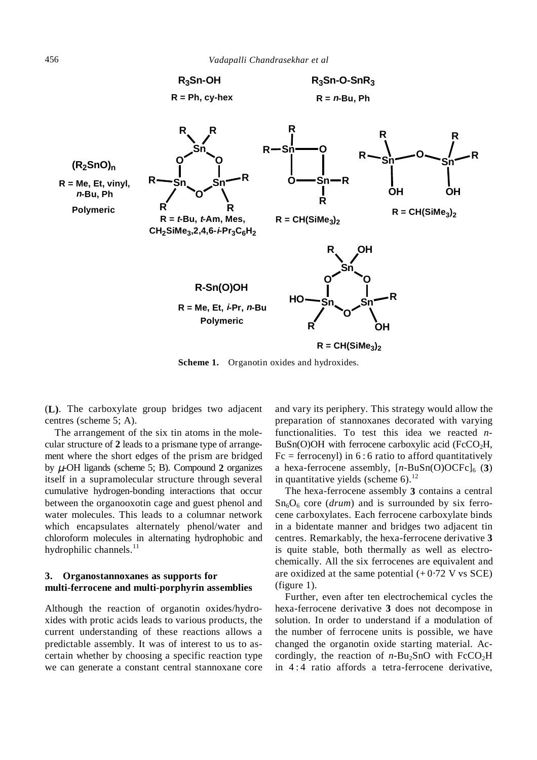

**Scheme 1.** Organotin oxides and hydroxides.

(**L)**. The carboxylate group bridges two adjacent centres (scheme 5; A).

 The arrangement of the six tin atoms in the molecular structure of **2** leads to a prismane type of arrangement where the short edges of the prism are bridged by µ-OH ligands (scheme 5; B). Compound **2** organizes itself in a supramolecular structure through several cumulative hydrogen-bonding interactions that occur between the organooxotin cage and guest phenol and water molecules. This leads to a columnar network which encapsulates alternately phenol/water and chloroform molecules in alternating hydrophobic and hydrophilic channels. $^{11}$ 

## **3. Organostannoxanes as supports for multi-ferrocene and multi-porphyrin assemblies**

Although the reaction of organotin oxides/hydroxides with protic acids leads to various products, the current understanding of these reactions allows a predictable assembly. It was of interest to us to ascertain whether by choosing a specific reaction type we can generate a constant central stannoxane core and vary its periphery. This strategy would allow the preparation of stannoxanes decorated with varying functionalities. To test this idea we reacted *n*- $BuSn(O)OH$  with ferrocene carboxylic acid ( $FcCO<sub>2</sub>H$ ,  $Fc = ferrocenyl$ ) in 6 : 6 ratio to afford quantitatively a hexa-ferrocene assembly,  $[n-BuSn(O)OCFc]_6$  (3) in quantitative yields (scheme  $6$ ).<sup>12</sup>

 The hexa-ferrocene assembly **3** contains a central  $Sn<sub>6</sub>O<sub>6</sub>$  core (*drum*) and is surrounded by six ferrocene carboxylates. Each ferrocene carboxylate binds in a bidentate manner and bridges two adjacent tin centres. Remarkably, the hexa-ferrocene derivative **3** is quite stable, both thermally as well as electrochemically. All the six ferrocenes are equivalent and are oxidized at the same potential  $(+ 0.72$  V vs SCE) (figure 1).

 Further, even after ten electrochemical cycles the hexa-ferrocene derivative **3** does not decompose in solution. In order to understand if a modulation of the number of ferrocene units is possible, we have changed the organotin oxide starting material. Accordingly, the reaction of  $n$ -Bu<sub>2</sub>SnO with FcCO<sub>2</sub>H in 4 : 4 ratio affords a tetra-ferrocene derivative,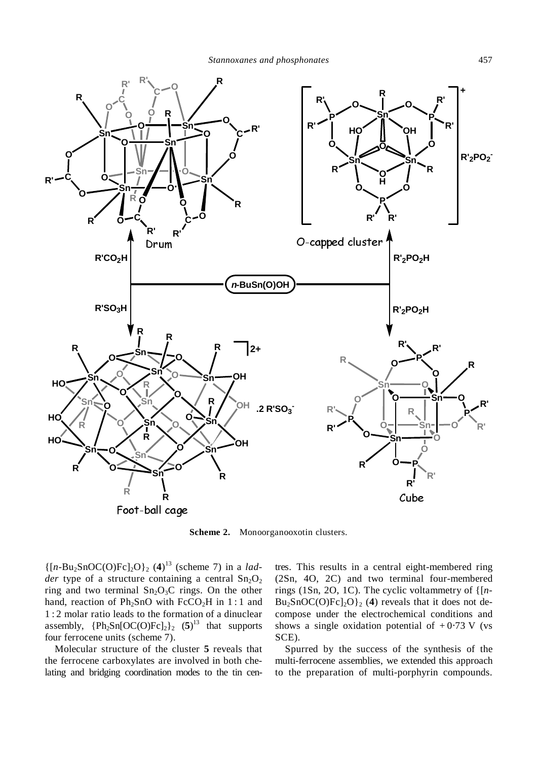

**Scheme 2.** Monoorganooxotin clusters.

 $\{[n-Bu_2SnOC(O)Fc]_2O\}_2$  (4)<sup>13</sup> (scheme 7) in a *ladder* type of a structure containing a central  $Sn<sub>2</sub>O<sub>2</sub>$ ring and two terminal  $Sn<sub>2</sub>O<sub>3</sub>C$  rings. On the other hand, reaction of  $Ph<sub>2</sub>SnO$  with  $FcCO<sub>2</sub>H$  in 1:1 and 1 : 2 molar ratio leads to the formation of a dinuclear assembly,  ${Ph_2Sn[OC(O)Fc]_2}_2$  (5)<sup>13</sup> that supports four ferrocene units (scheme 7).

 Molecular structure of the cluster **5** reveals that the ferrocene carboxylates are involved in both chelating and bridging coordination modes to the tin centres. This results in a central eight-membered ring (2Sn, 4O, 2C) and two terminal four-membered rings (1Sn, 2O, 1C). The cyclic voltammetry of {[*n*- $Bu_2SnOC(O)Fc]_2O$ <sub>2</sub> (4) reveals that it does not decompose under the electrochemical conditions and shows a single oxidation potential of  $+0.73$  V (vs SCE).

 Spurred by the success of the synthesis of the multi-ferrocene assemblies, we extended this approach to the preparation of multi-porphyrin compounds.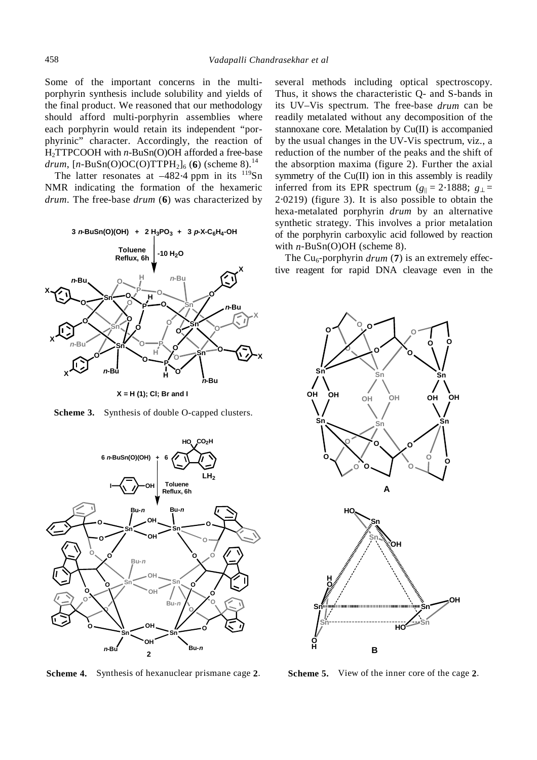Some of the important concerns in the multiporphyrin synthesis include solubility and yields of the final product. We reasoned that our methodology should afford multi-porphyrin assemblies where each porphyrin would retain its independent "porphyrinic" character. Accordingly, the reaction of H2TTPCOOH with *n*-BuSn(O)OH afforded a free-base *drum*,  $[n-BuSn(O)OC(O)TTPH_2]_6$  (6) (scheme 8).<sup>14</sup>

The latter resonates at  $-482.4$  ppm in its  $119$ Sn NMR indicating the formation of the hexameric *drum*. The free-base *drum* (**6**) was characterized by



**X = H (1); Cl; Br and I**

**Scheme 3.** Synthesis of double O-capped clusters.



**Scheme 4.** Synthesis of hexanuclear prismane cage **2**.

several methods including optical spectroscopy. Thus, it shows the characteristic Q- and S-bands in its UV–Vis spectrum. The free-base *drum* can be readily metalated without any decomposition of the stannoxane core. Metalation by Cu(II) is accompanied by the usual changes in the UV-Vis spectrum, viz., a reduction of the number of the peaks and the shift of the absorption maxima (figure 2). Further the axial symmetry of the Cu(II) ion in this assembly is readily inferred from its EPR spectrum ( $g_{\parallel} = 2.1888$ ;  $g_{\perp} =$ 2⋅0219) (figure 3). It is also possible to obtain the hexa-metalated porphyrin *drum* by an alternative synthetic strategy. This involves a prior metalation of the porphyrin carboxylic acid followed by reaction with *n*-BuSn(O)OH (scheme 8).

The Cu<sub>6</sub>-porphyrin *drum* (7) is an extremely effective reagent for rapid DNA cleavage even in the



**Scheme 5.** View of the inner core of the cage **2**.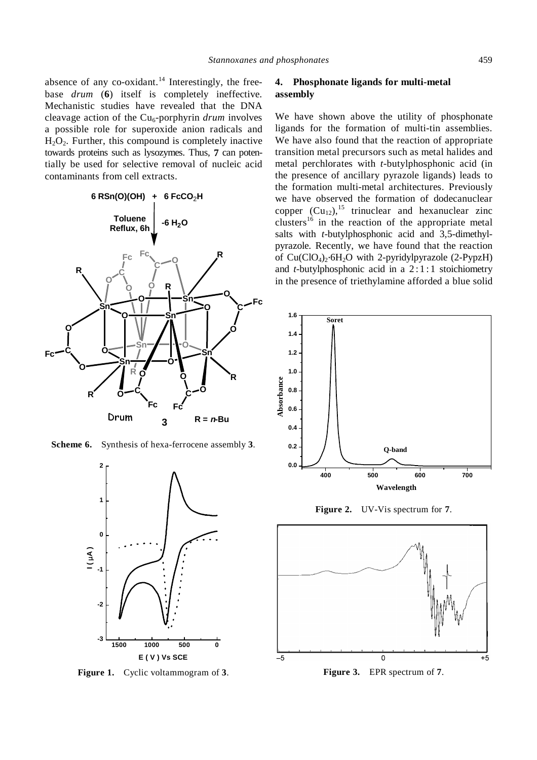absence of any co-oxidant. $14$  Interestingly, the freebase *drum* (**6**) itself is completely ineffective. Mechanistic studies have revealed that the DNA cleavage action of the Cu<sub>6</sub>-porphyrin *drum* involves a possible role for superoxide anion radicals and  $H_2O_2$ . Further, this compound is completely inactive towards proteins such as lysozymes. Thus, **7** can potentially be used for selective removal of nucleic acid contaminants from cell extracts.



**Scheme 6.** Synthesis of hexa-ferrocene assembly **3**.



**Figure 1.** Cyclic voltammogram of **3**.

## **4. Phosphonate ligands for multi-metal assembly**

We have shown above the utility of phosphonate ligands for the formation of multi-tin assemblies. We have also found that the reaction of appropriate transition metal precursors such as metal halides and metal perchlorates with *t*-butylphosphonic acid (in the presence of ancillary pyrazole ligands) leads to the formation multi-metal architectures. Previously we have observed the formation of dodecanuclear copper  $(Cu_{12})$ ,<sup>15</sup> trinuclear and hexanuclear zinc clusters<sup>16</sup> in the reaction of the appropriate metal salts with *t*-butylphosphonic acid and 3,5-dimethylpyrazole. Recently, we have found that the reaction of  $Cu(CIO<sub>4</sub>)<sub>2</sub>·6H<sub>2</sub>O$  with 2-pyridylpyrazole (2-PypzH) and *t*-butylphosphonic acid in a  $2:1:1$  stoichiometry in the presence of triethylamine afforded a blue solid



**Figure 2.** UV-Vis spectrum for **7**.



**Figure 3.** EPR spectrum of **7**.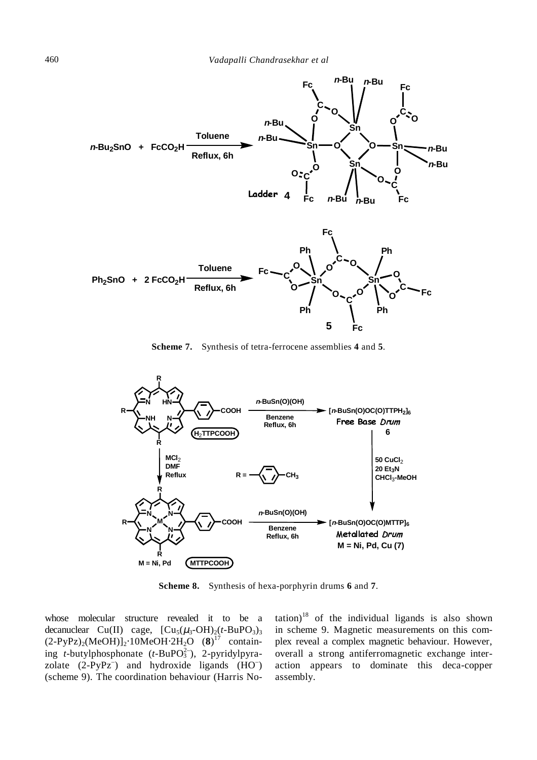

**Scheme 7.** Synthesis of tetra-ferrocene assemblies **4** and **5**.



**Scheme 8.** Synthesis of hexa-porphyrin drums **6** and **7**.

whose molecular structure revealed it to be a decanuclear Cu(II) cage,  $[Cu<sub>5</sub>(\mu<sub>3</sub>-OH)<sub>2</sub>(t-BuPO<sub>3</sub>)<sub>3</sub>]$ (2-PyPz)2(MeOH)]2⋅10MeOH⋅2H2O (**8**) 17 containing *t*-butylphosphonate (*t*-BuPO<sup>2</sup><sub>3</sub>), 2-pyridylpyrazolate  $(2-PyPz^-)$  and hydroxide ligands  $(HO^-)$ (scheme 9). The coordination behaviour (Harris No $\text{tation}$ <sup>18</sup> of the individual ligands is also shown in scheme 9. Magnetic measurements on this complex reveal a complex magnetic behaviour. However, overall a strong antiferromagnetic exchange interaction appears to dominate this deca-copper assembly.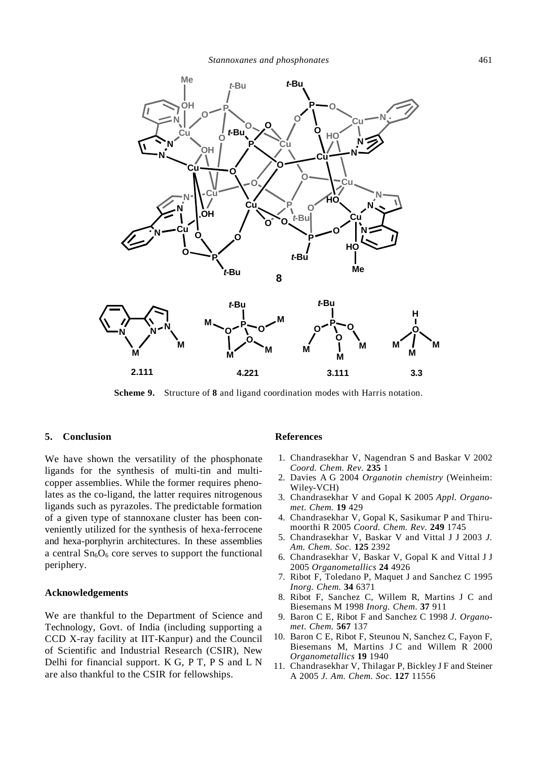

**Scheme 9.** Structure of **8** and ligand coordination modes with Harris notation.

### **5. Conclusion**

We have shown the versatility of the phosphonate ligands for the synthesis of multi-tin and multicopper assemblies. While the former requires phenolates as the co-ligand, the latter requires nitrogenous ligands such as pyrazoles. The predictable formation of a given type of stannoxane cluster has been conveniently utilized for the synthesis of hexa-ferrocene and hexa-porphyrin architectures. In these assemblies a central  $Sn<sub>6</sub>O<sub>6</sub>$  core serves to support the functional periphery.

#### **Acknowledgements**

We are thankful to the Department of Science and Technology, Govt. of India (including supporting a CCD X-ray facility at IIT-Kanpur) and the Council of Scientific and Industrial Research (CSIR), New Delhi for financial support. K G, P T, P S and L N are also thankful to the CSIR for fellowships.

#### **References**

- 1. Chandrasekhar V, Nagendran S and Baskar V 2002 *Coord. Chem. Rev.* **235** 1
- 2. Davies A G 2004 *Organotin chemistry* (Weinheim: Wiley-VCH)
- 3. Chandrasekhar V and Gopal K 2005 *Appl. Organomet. Chem.* **19** 429
- 4. Chandrasekhar V, Gopal K, Sasikumar P and Thirumoorthi R 2005 *Coord. Chem. Rev.* **249** 1745
- 5. Chandrasekhar V, Baskar V and Vittal J J 2003 *J. Am. Chem. Soc.* **125** 2392
- 6. Chandrasekhar V, Baskar V, Gopal K and Vittal J J 2005 *Organometallics* **24** 4926
- 7. Ribot F, Toledano P, Maquet J and Sanchez C 1995 *Inorg. Chem.* **34** 6371
- 8. Ribot F, Sanchez C, Willem R, Martins J C and Biesemans M 1998 *Inorg. Chem*. **37** 911
- 9. Baron C E, Ribot F and Sanchez C 1998 *J. Organomet. Chem.* **567** 137
- 10. Baron C E, Ribot F, Steunou N, Sanchez C, Fayon F, Biesemans M, Martins J C and Willem R 2000 *Organometallics* **19** 1940
- 11. Chandrasekhar V, Thilagar P, Bickley J F and Steiner A 2005 *J. Am. Chem. Soc.* **127** 11556